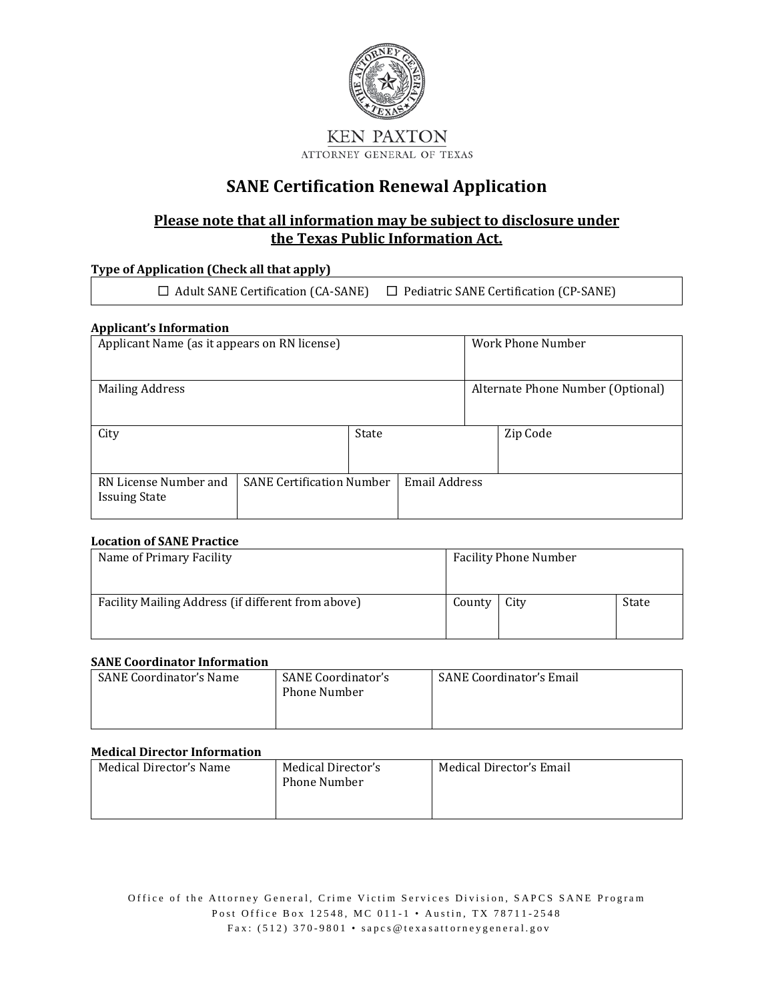

### **SANE Certification Renewal Application**

### **Please note that all information may be subject to disclosure under the Texas Public Information Act.**

### **Type of Application (Check all that apply)**

☐ Adult SANE Certification (CA-SANE) ☐ Pediatric SANE Certification (CP-SANE)

#### **Applicant's Information**

| Applicant Name (as it appears on RN license)                                      |  |       |                      |                                   | Work Phone Number |
|-----------------------------------------------------------------------------------|--|-------|----------------------|-----------------------------------|-------------------|
| <b>Mailing Address</b>                                                            |  |       |                      | Alternate Phone Number (Optional) |                   |
| City                                                                              |  | State |                      |                                   | Zip Code          |
| <b>SANE Certification Number</b><br>RN License Number and<br><b>Issuing State</b> |  |       | <b>Email Address</b> |                                   |                   |

#### **Location of SANE Practice**

| Name of Primary Facility                           |        | <b>Facility Phone Number</b> |       |  |
|----------------------------------------------------|--------|------------------------------|-------|--|
| Facility Mailing Address (if different from above) | County | City                         | State |  |

#### **SANE Coordinator Information**

| <b>SANE Coordinator's Name</b> | SANE Coordinator's<br>Phone Number | <b>SANE Coordinator's Email</b> |
|--------------------------------|------------------------------------|---------------------------------|
|                                |                                    |                                 |

#### **Medical Director Information**

| Medical Director's Name | Medical Director's<br>Phone Number | Medical Director's Email |
|-------------------------|------------------------------------|--------------------------|
|                         |                                    |                          |

Office of the Attorney General, Crime Victim Services Division, SAPCS SANE Program Post Office Box 12548, MC 011-1 • Austin, TX 78711-2548 Fax: (512) 370-9801 • [sapcs@texasattorneygeneral.gov](mailto:sapcs@texasattorneygeneral.gov?subject=SANE%20Certification%20or%20Re-Certification%20Application%20Packet)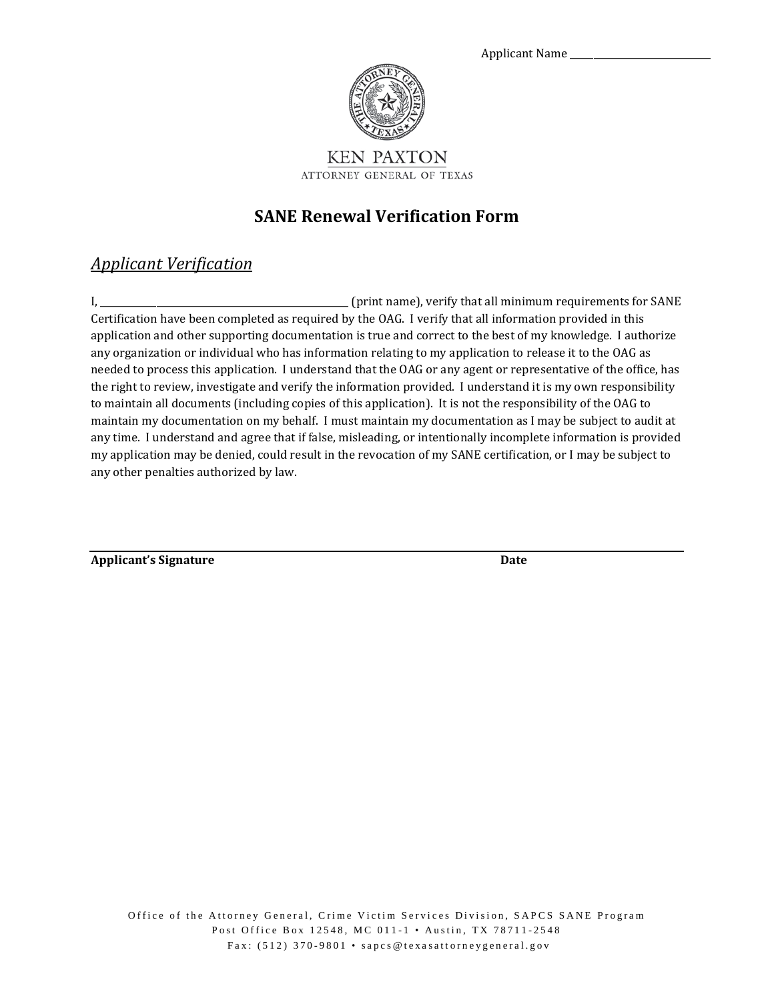



### **SANE Renewal Verification Form**

### *Applicant Verification*

I, \_\_\_\_\_\_\_\_\_\_\_\_\_\_\_\_\_\_\_\_\_\_\_\_\_\_\_\_\_\_\_\_\_\_\_\_\_\_\_\_\_\_\_\_\_\_\_\_\_\_\_\_\_ (print name), verify that all minimum requirements for SANE Certification have been completed as required by the OAG. I verify that all information provided in this application and other supporting documentation is true and correct to the best of my knowledge. I authorize any organization or individual who has information relating to my application to release it to the OAG as needed to process this application. I understand that the OAG or any agent or representative of the office, has the right to review, investigate and verify the information provided. I understand it is my own responsibility to maintain all documents (including copies of this application). It is not the responsibility of the OAG to maintain my documentation on my behalf. I must maintain my documentation as I may be subject to audit at any time. I understand and agree that if false, misleading, or intentionally incomplete information is provided my application may be denied, could result in the revocation of my SANE certification, or I may be subject to any other penalties authorized by law.

**Applicant's Signature Date**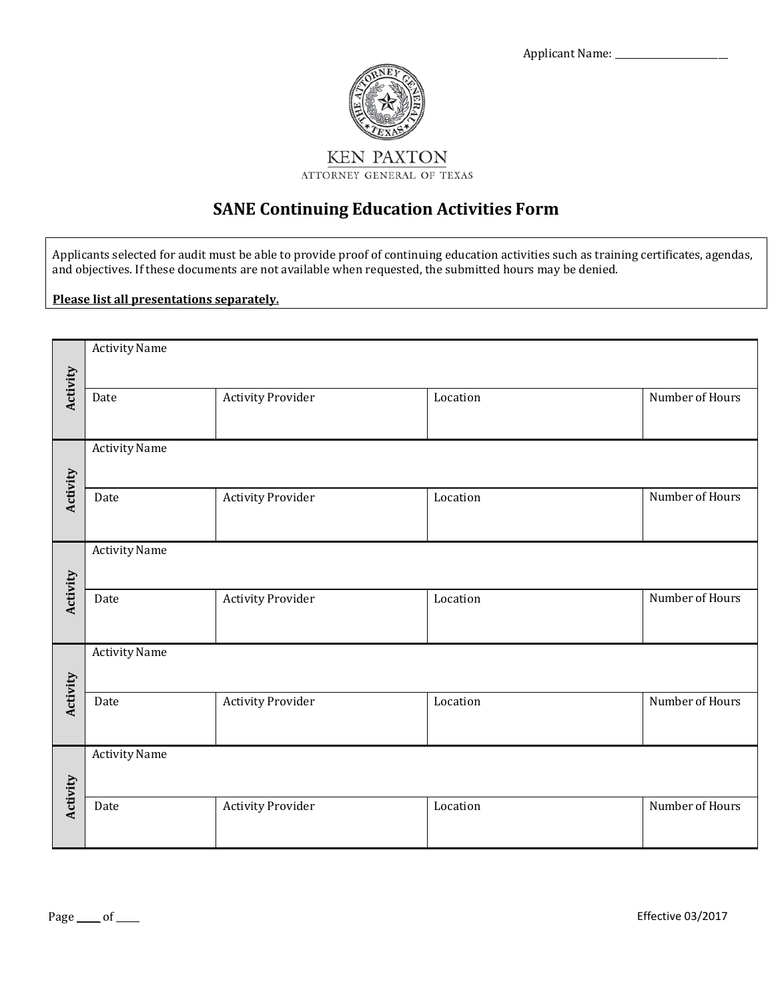

# **SANE Continuing Education Activities Form**

Applicants selected for audit must be able to provide proof of continuing education activities such as training certificates, agendas, and objectives. If these documents are not available when requested, the submitted hours may be denied.

**Please list all presentations separately.**

|          | <b>Activity Name</b> |                          |          |                 |  |  |
|----------|----------------------|--------------------------|----------|-----------------|--|--|
| Activity |                      |                          |          |                 |  |  |
|          | Date                 | <b>Activity Provider</b> | Location | Number of Hours |  |  |
|          |                      |                          |          |                 |  |  |
|          | <b>Activity Name</b> |                          |          |                 |  |  |
|          |                      |                          |          |                 |  |  |
| Activity | Date                 | <b>Activity Provider</b> | Location | Number of Hours |  |  |
|          |                      |                          |          |                 |  |  |
|          | <b>Activity Name</b> |                          |          |                 |  |  |
|          |                      |                          |          |                 |  |  |
| Activity | Date                 | <b>Activity Provider</b> | Location | Number of Hours |  |  |
|          |                      |                          |          |                 |  |  |
|          | Activity Name        |                          |          |                 |  |  |
|          |                      |                          |          |                 |  |  |
| Activity | Date                 | <b>Activity Provider</b> | Location | Number of Hours |  |  |
|          |                      |                          |          |                 |  |  |
|          | <b>Activity Name</b> |                          |          |                 |  |  |
|          |                      |                          |          |                 |  |  |
| Activity | Date                 | <b>Activity Provider</b> | Location | Number of Hours |  |  |
|          |                      |                          |          |                 |  |  |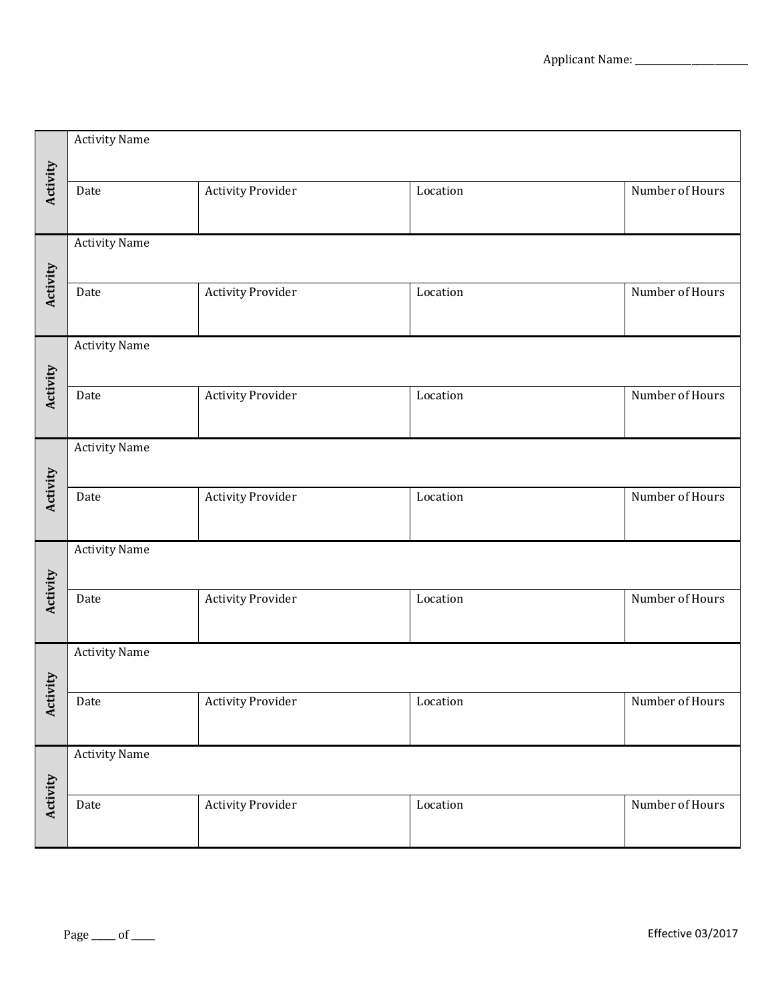|          | <b>Activity Name</b> |                          |          |                 |  |
|----------|----------------------|--------------------------|----------|-----------------|--|
| Activity | Date                 | <b>Activity Provider</b> | Location | Number of Hours |  |
|          | <b>Activity Name</b> |                          |          |                 |  |
| Activity | Date                 | <b>Activity Provider</b> | Location | Number of Hours |  |
|          | <b>Activity Name</b> |                          |          |                 |  |
| Activity | Date                 | <b>Activity Provider</b> | Location | Number of Hours |  |
|          | <b>Activity Name</b> |                          |          |                 |  |
| Activity | Date                 | <b>Activity Provider</b> | Location | Number of Hours |  |
|          | <b>Activity Name</b> |                          |          |                 |  |
| Activity | Date                 | <b>Activity Provider</b> | Location | Number of Hours |  |
|          | <b>Activity Name</b> |                          |          |                 |  |
| Activity | Date                 | <b>Activity Provider</b> | Location | Number of Hours |  |
|          | <b>Activity Name</b> |                          |          |                 |  |
| Activity | Date                 | <b>Activity Provider</b> | Location | Number of Hours |  |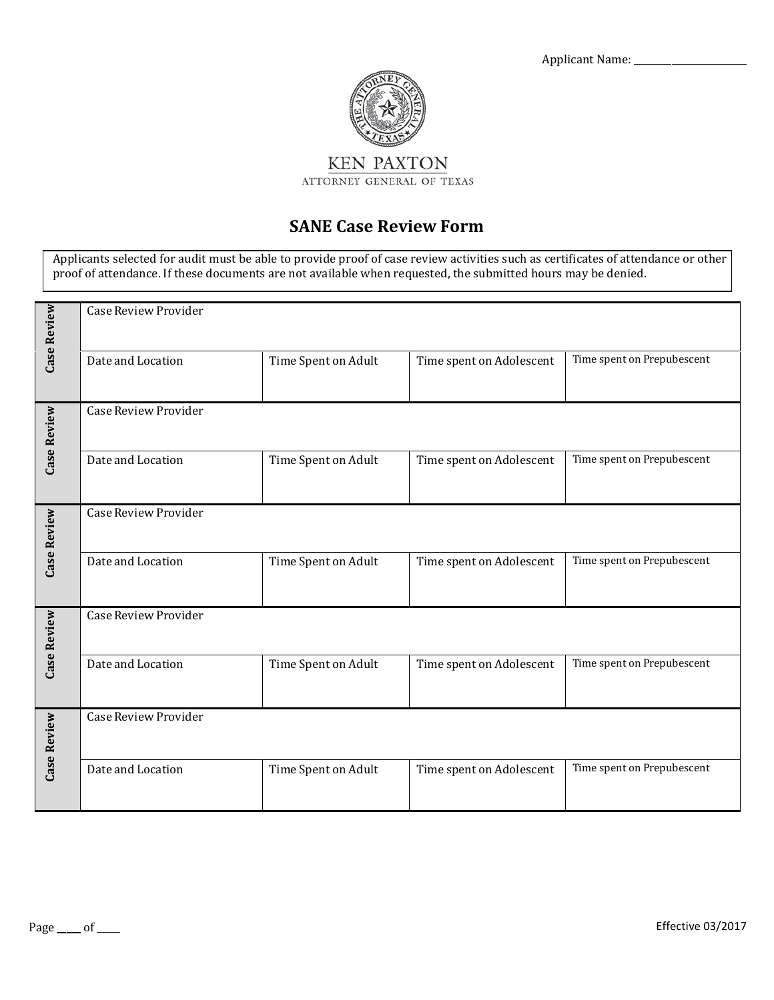

### **SANE Case Review Form**

Applicants selected for audit must be able to provide proof of case review activities such as certificates of attendance or other proof of attendance. If these documents are not available when requested, the submitted hours may be denied.

| Case Review | Case Review Provider        |                     |                          |                            |  |  |
|-------------|-----------------------------|---------------------|--------------------------|----------------------------|--|--|
|             | Date and Location           | Time Spent on Adult | Time spent on Adolescent | Time spent on Prepubescent |  |  |
| Case Review | Case Review Provider        |                     |                          |                            |  |  |
|             | Date and Location           | Time Spent on Adult | Time spent on Adolescent | Time spent on Prepubescent |  |  |
| Case Review | Case Review Provider        |                     |                          |                            |  |  |
|             | Date and Location           | Time Spent on Adult | Time spent on Adolescent | Time spent on Prepubescent |  |  |
| Case Review | Case Review Provider        |                     |                          |                            |  |  |
|             | Date and Location           | Time Spent on Adult | Time spent on Adolescent | Time spent on Prepubescent |  |  |
| Case Review | <b>Case Review Provider</b> |                     |                          |                            |  |  |
|             | Date and Location           | Time Spent on Adult | Time spent on Adolescent | Time spent on Prepubescent |  |  |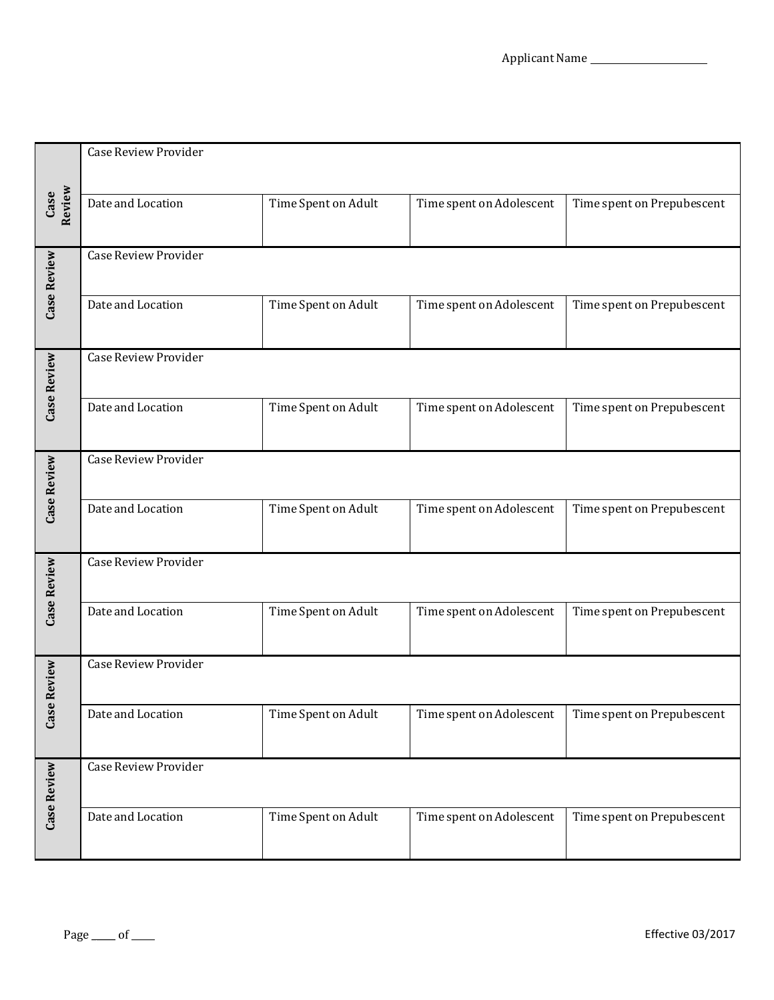|                | Case Review Provider        |                     |                          |                            |  |  |
|----------------|-----------------------------|---------------------|--------------------------|----------------------------|--|--|
| Case<br>Review | Date and Location           | Time Spent on Adult | Time spent on Adolescent | Time spent on Prepubescent |  |  |
| Case Review    | Case Review Provider        |                     |                          |                            |  |  |
|                | Date and Location           | Time Spent on Adult | Time spent on Adolescent | Time spent on Prepubescent |  |  |
| Case Review    | <b>Case Review Provider</b> |                     |                          |                            |  |  |
|                | Date and Location           | Time Spent on Adult | Time spent on Adolescent | Time spent on Prepubescent |  |  |
| Case Review    | <b>Case Review Provider</b> |                     |                          |                            |  |  |
|                | Date and Location           | Time Spent on Adult | Time spent on Adolescent | Time spent on Prepubescent |  |  |
| Case Review    | <b>Case Review Provider</b> |                     |                          |                            |  |  |
|                | Date and Location           | Time Spent on Adult | Time spent on Adolescent | Time spent on Prepubescent |  |  |
| Review         | <b>Case Review Provider</b> |                     |                          |                            |  |  |
| $\csc$         | Date and Location           | Time Spent on Adult | Time spent on Adolescent | Time spent on Prepubescent |  |  |
| Case Review    | <b>Case Review Provider</b> |                     |                          |                            |  |  |
|                | Date and Location           | Time Spent on Adult | Time spent on Adolescent | Time spent on Prepubescent |  |  |